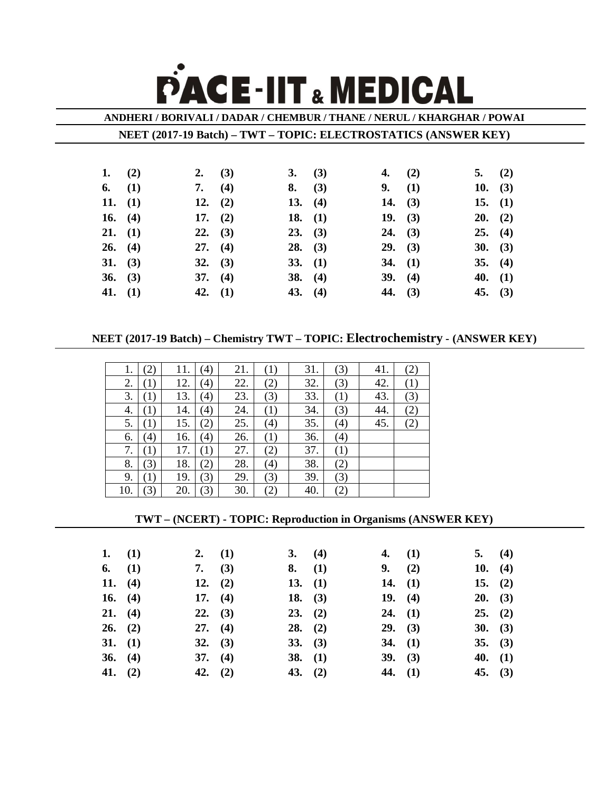## **PACE-IIT & MEDICAL**

**ANDHERI / BORIVALI / DADAR / CHEMBUR / THANE / NERUL / KHARGHAR / POWAI**

**NEET (2017-19 Batch) – TWT – TOPIC: ELECTROSTATICS (ANSWER KEY)**

| 1. $(2)$  | 2. $(3)$        | 3. (3)    | 4. $(2)$  |           | 5. $(2)$  |  |
|-----------|-----------------|-----------|-----------|-----------|-----------|--|
| 6. $(1)$  | 7. $(4)$        | 8. (3)    |           | 9. (1)    | 10. $(3)$ |  |
| 11. $(1)$ | 12. $(2)$       | 13. $(4)$ |           | 14. $(3)$ | 15. $(1)$ |  |
| 16. $(4)$ | 17. $(2)$       | 18. $(1)$ |           | 19. $(3)$ | $20.$ (2) |  |
| 21. (1)   | $22. \quad (3)$ | 23. (3)   | 24. (3)   |           | 25. (4)   |  |
| 26. (4)   | 27. (4)         | 28. (3)   | 29. (3)   |           | $30.$ (3) |  |
| 31. (3)   | $32. \quad (3)$ | 33. (1)   |           | 34. $(1)$ | 35. (4)   |  |
| 36. (3)   | 37. (4)         | 38. $(4)$ |           | 39. (4)   | 40. $(1)$ |  |
| 41. $(1)$ | 42. $(1)$       | 43. $(4)$ | 44. $(3)$ |           | 45. $(3)$ |  |

**NEET (2017-19 Batch) – Chemistry TWT – TOPIC: Electrochemistry - (ANSWER KEY)**

| Ī.  |     | 11. | $\left(4\right)$ | 21. | (1) | 31. | (3) | 41. | (2) |
|-----|-----|-----|------------------|-----|-----|-----|-----|-----|-----|
| 2.  | (1) | 12. | (4)              | 22. | (2) | 32. | (3) | 42. | (1) |
| 3.  | (1) | 13. | (4)              | 23. | (3) | 33. | (1) | 43. | (3) |
| 4.  | (1) | 14. | (4)              | 24. | (1) | 34. | (3) | 44. | (2) |
| 5.  | (1) | 15. | (2)              | 25. | (4) | 35. | (4) | 45. | (2) |
| 6.  | (4) | 16. | (4)              | 26. | (1) | 36. | (4) |     |     |
| 7.  | (1) | 17. | (1)              | 27. | (2) | 37. | (1) |     |     |
| 8.  | (3) | 18. | $\binom{2}{}$    | 28. | (4) | 38. | (2) |     |     |
| 9.  | (1) | 19. | (3)              | 29. | (3) | 39. | (3) |     |     |
| 10. | 3)  | 20. | (3)              | 30. | (2) | 40. | (2) |     |     |

## **TWT – (NCERT) - TOPIC: Reproduction in Organisms (ANSWER KEY)**

| 1. $(1)$  |           | 2. $(1)$        | 3. (4)    | 4. $(1)$  | 5. (4)    |  |
|-----------|-----------|-----------------|-----------|-----------|-----------|--|
| 6. $(1)$  |           | 7. $(3)$        | 8. (1)    | 9. (2)    | 10. $(4)$ |  |
| 11. $(4)$ |           | 12. $(2)$       | 13. $(1)$ | 14. $(1)$ | 15. $(2)$ |  |
|           | 16. $(4)$ | 17. $(4)$       | 18. $(3)$ | 19. $(4)$ | $20.$ (3) |  |
| 21. (4)   |           | $22. \quad (3)$ | 23. (2)   | 24. (1)   | 25. (2)   |  |
| 26. (2)   |           | 27. (4)         | $28.$ (2) | $29.$ (3) | 30. (3)   |  |
| 31. (1)   |           | $32. \quad (3)$ | 33. (3)   | 34. $(1)$ | 35. (3)   |  |
| 36. (4)   |           | 37. (4)         | 38. $(1)$ | 39. (3)   | 40. $(1)$ |  |
| 41. $(2)$ |           | 42. $(2)$       | 43. $(2)$ | 44. $(1)$ | 45. $(3)$ |  |